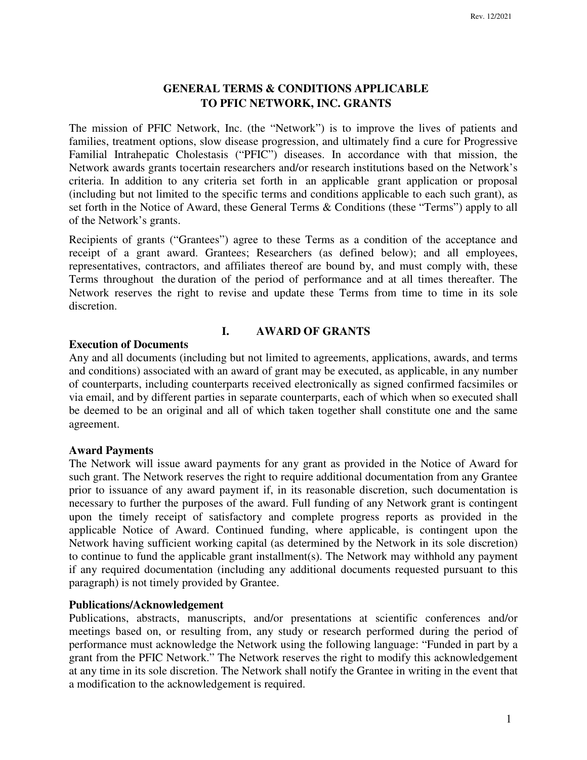# **GENERAL TERMS & CONDITIONS APPLICABLE TO PFIC NETWORK, INC. GRANTS**

The mission of PFIC Network, Inc. (the "Network") is to improve the lives of patients and families, treatment options, slow disease progression, and ultimately find a cure for Progressive Familial Intrahepatic Cholestasis ("PFIC") diseases. In accordance with that mission, the Network awards grants to certain researchers and/or research institutions based on the Network's criteria. In addition to any criteria set forth in an applicable grant application or proposal (including but not limited to the specific terms and conditions applicable to each such grant), as set forth in the Notice of Award, these General Terms & Conditions (these "Terms") apply to all of the Network's grants.

Recipients of grants ("Grantees") agree to these Terms as a condition of the acceptance and receipt of a grant award. Grantees; Researchers (as defined below); and all employees, representatives, contractors, and affiliates thereof are bound by, and must comply with, these Terms throughout the duration of the period of performance and at all times thereafter. The Network reserves the right to revise and update these Terms from time to time in its sole discretion.

# **I. AWARD OF GRANTS**

# **Execution of Documents**

Any and all documents (including but not limited to agreements, applications, awards, and terms and conditions) associated with an award of grant may be executed, as applicable, in any number of counterparts, including counterparts received electronically as signed confirmed facsimiles or via email, and by different parties in separate counterparts, each of which when so executed shall be deemed to be an original and all of which taken together shall constitute one and the same agreement.

### **Award Payments**

The Network will issue award payments for any grant as provided in the Notice of Award for such grant. The Network reserves the right to require additional documentation from any Grantee prior to issuance of any award payment if, in its reasonable discretion, such documentation is necessary to further the purposes of the award. Full funding of any Network grant is contingent upon the timely receipt of satisfactory and complete progress reports as provided in the applicable Notice of Award. Continued funding, where applicable, is contingent upon the Network having sufficient working capital (as determined by the Network in its sole discretion) to continue to fund the applicable grant installment(s). The Network may withhold any payment if any required documentation (including any additional documents requested pursuant to this paragraph) is not timely provided by Grantee.

# **Publications/Acknowledgement**

Publications, abstracts, manuscripts, and/or presentations at scientific conferences and/or meetings based on, or resulting from, any study or research performed during the period of performance must acknowledge the Network using the following language: "Funded in part by a grant from the PFIC Network." The Network reserves the right to modify this acknowledgement at any time in its sole discretion. The Network shall notify the Grantee in writing in the event that a modification to the acknowledgement is required.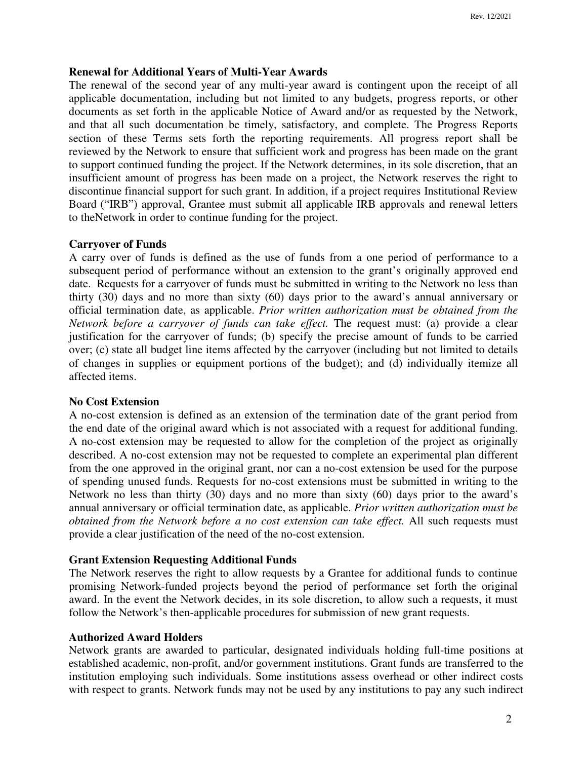# **Renewal for Additional Years of Multi-Year Awards**

The renewal of the second year of any multi-year award is contingent upon the receipt of all applicable documentation, including but not limited to any budgets, progress reports, or other documents as set forth in the applicable Notice of Award and/or as requested by the Network, and that all such documentation be timely, satisfactory, and complete. The Progress Reports section of these Terms sets forth the reporting requirements. All progress report shall be reviewed by the Network to ensure that sufficient work and progress has been made on the grant to support continued funding the project. If the Network determines, in its sole discretion, that an insufficient amount of progress has been made on a project, the Network reserves the right to discontinue financial support for such grant. In addition, if a project requires Institutional Review Board ("IRB") approval, Grantee must submit all applicable IRB approvals and renewal letters to the Network in order to continue funding for the project.

### **Carryover of Funds**

A carry over of funds is defined as the use of funds from a one period of performance to a subsequent period of performance without an extension to the grant's originally approved end date. Requests for a carryover of funds must be submitted in writing to the Network no less than thirty (30) days and no more than sixty (60) days prior to the award's annual anniversary or official termination date, as applicable. *Prior written authorization must be obtained from the Network before a carryover of funds can take effect.* The request must: (a) provide a clear justification for the carryover of funds; (b) specify the precise amount of funds to be carried over; (c) state all budget line items affected by the carryover (including but not limited to details of changes in supplies or equipment portions of the budget); and (d) individually itemize all affected items.

# **No Cost Extension**

A no-cost extension is defined as an extension of the termination date of the grant period from the end date of the original award which is not associated with a request for additional funding. A no-cost extension may be requested to allow for the completion of the project as originally described. A no-cost extension may not be requested to complete an experimental plan different from the one approved in the original grant, nor can a no-cost extension be used for the purpose of spending unused funds. Requests for no-cost extensions must be submitted in writing to the Network no less than thirty (30) days and no more than sixty (60) days prior to the award's annual anniversary or official termination date, as applicable. *Prior written authorization must be obtained from the Network before a no cost extension can take effect.* All such requests must provide a clear justification of the need of the no-cost extension.

#### **Grant Extension Requesting Additional Funds**

The Network reserves the right to allow requests by a Grantee for additional funds to continue promising Network-funded projects beyond the period of performance set forth the original award. In the event the Network decides, in its sole discretion, to allow such a requests, it must follow the Network's then-applicable procedures for submission of new grant requests.

### **Authorized Award Holders**

Network grants are awarded to particular, designated individuals holding full-time positions at established academic, non-profit, and/or government institutions. Grant funds are transferred to the institution employing such individuals. Some institutions assess overhead or other indirect costs with respect to grants. Network funds may not be used by any institutions to pay any such indirect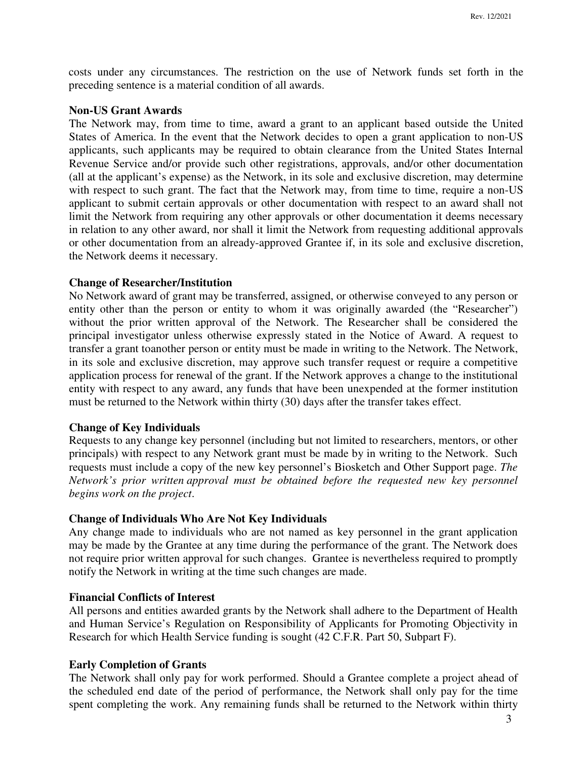costs under any circumstances. The restriction on the use of Network funds set forth in the preceding sentence is a material condition of all awards.

### **Non-US Grant Awards**

The Network may, from time to time, award a grant to an applicant based outside the United States of America. In the event that the Network decides to open a grant application to non-US applicants, such applicants may be required to obtain clearance from the United States Internal Revenue Service and/or provide such other registrations, approvals, and/or other documentation (all at the applicant's expense) as the Network, in its sole and exclusive discretion, may determine with respect to such grant. The fact that the Network may, from time to time, require a non-US applicant to submit certain approvals or other documentation with respect to an award shall not limit the Network from requiring any other approvals or other documentation it deems necessary in relation to any other award, nor shall it limit the Network from requesting additional approvals or other documentation from an already-approved Grantee if, in its sole and exclusive discretion, the Network deems it necessary.

### **Change of Researcher/Institution**

No Network award of grant may be transferred, assigned, or otherwise conveyed to any person or entity other than the person or entity to whom it was originally awarded (the "Researcher") without the prior written approval of the Network. The Researcher shall be considered the principal investigator unless otherwise expressly stated in the Notice of Award. A request to transfer a grant to another person or entity must be made in writing to the Network. The Network, in its sole and exclusive discretion, may approve such transfer request or require a competitive application process for renewal of the grant. If the Network approves a change to the institutional entity with respect to any award, any funds that have been unexpended at the former institution must be returned to the Network within thirty (30) days after the transfer takes effect.

### **Change of Key Individuals**

Requests to any change key personnel (including but not limited to researchers, mentors, or other principals) with respect to any Network grant must be made by in writing to the Network. Such requests must include a copy of the new key personnel's Biosketch and Other Support page. *The Network's prior written approval must be obtained before the requested new key personnel begins work on the project*.

### **Change of Individuals Who Are Not Key Individuals**

Any change made to individuals who are not named as key personnel in the grant application may be made by the Grantee at any time during the performance of the grant. The Network does not require prior written approval for such changes. Grantee is nevertheless required to promptly notify the Network in writing at the time such changes are made.

#### **Financial Conflicts of Interest**

All persons and entities awarded grants by the Network shall adhere to the Department of Health and Human Service's Regulation on Responsibility of Applicants for Promoting Objectivity in Research for which Health Service funding is sought (42 C.F.R. Part 50, Subpart F).

# **Early Completion of Grants**

The Network shall only pay for work performed. Should a Grantee complete a project ahead of the scheduled end date of the period of performance, the Network shall only pay for the time spent completing the work. Any remaining funds shall be returned to the Network within thirty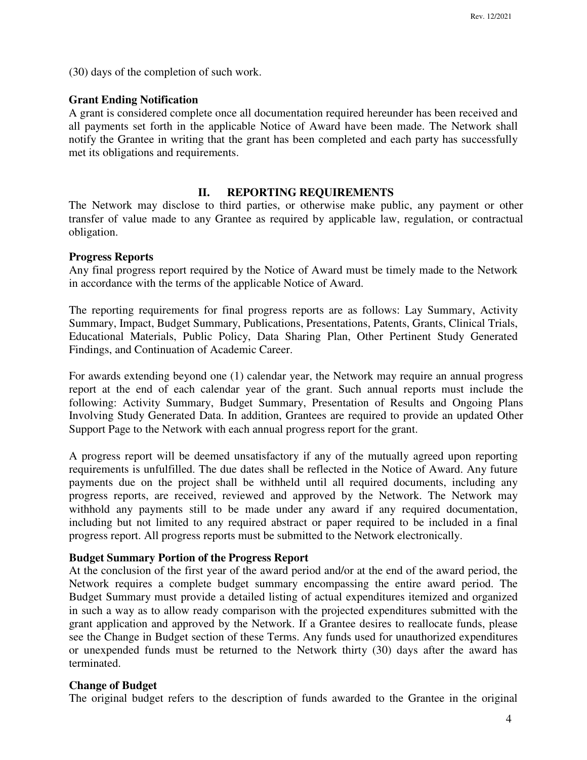(30) days of the completion of such work.

### **Grant Ending Notification**

A grant is considered complete once all documentation required hereunder has been received and all payments set forth in the applicable Notice of Award have been made. The Network shall notify the Grantee in writing that the grant has been completed and each party has successfully met its obligations and requirements.

### **II. REPORTING REQUIREMENTS**

The Network may disclose to third parties, or otherwise make public, any payment or other transfer of value made to any Grantee as required by applicable law, regulation, or contractual obligation.

#### **Progress Reports**

Any final progress report required by the Notice of Award must be timely made to the Network in accordance with the terms of the applicable Notice of Award.

The reporting requirements for final progress reports are as follows: Lay Summary, Activity Summary, Impact, Budget Summary, Publications, Presentations, Patents, Grants, Clinical Trials, Educational Materials, Public Policy, Data Sharing Plan, Other Pertinent Study Generated Findings, and Continuation of Academic Career.

For awards extending beyond one (1) calendar year, the Network may require an annual progress report at the end of each calendar year of the grant. Such annual reports must include the following: Activity Summary, Budget Summary, Presentation of Results and Ongoing Plans Involving Study Generated Data. In addition, Grantees are required to provide an updated Other Support Page to the Network with each annual progress report for the grant.

A progress report will be deemed unsatisfactory if any of the mutually agreed upon reporting requirements is unfulfilled. The due dates shall be reflected in the Notice of Award. Any future payments due on the project shall be withheld until all required documents, including any progress reports, are received, reviewed and approved by the Network. The Network may withhold any payments still to be made under any award if any required documentation, including but not limited to any required abstract or paper required to be included in a final progress report. All progress reports must be submitted to the Network electronically.

### **Budget Summary Portion of the Progress Report**

At the conclusion of the first year of the award period and/or at the end of the award period, the Network requires a complete budget summary encompassing the entire award period. The Budget Summary must provide a detailed listing of actual expenditures itemized and organized in such a way as to allow ready comparison with the projected expenditures submitted with the grant application and approved by the Network. If a Grantee desires to reallocate funds, please see the Change in Budget section of these Terms. Any funds used for unauthorized expenditures or unexpended funds must be returned to the Network thirty (30) days after the award has terminated.

### **Change of Budget**

The original budget refers to the description of funds awarded to the Grantee in the original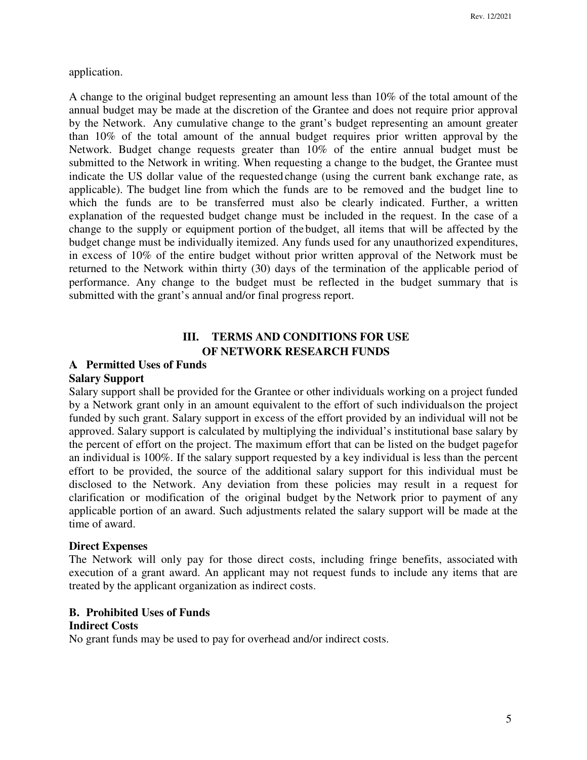application.

A change to the original budget representing an amount less than 10% of the total amount of the annual budget may be made at the discretion of the Grantee and does not require prior approval by the Network. Any cumulative change to the grant's budget representing an amount greater than 10% of the total amount of the annual budget requires prior written approval by the Network. Budget change requests greater than 10% of the entire annual budget must be submitted to the Network in writing. When requesting a change to the budget, the Grantee must indicate the US dollar value of the requested change (using the current bank exchange rate, as applicable). The budget line from which the funds are to be removed and the budget line to which the funds are to be transferred must also be clearly indicated. Further, a written explanation of the requested budget change must be included in the request. In the case of a change to the supply or equipment portion of the budget, all items that will be affected by the budget change must be individually itemized. Any funds used for any unauthorized expenditures, in excess of 10% of the entire budget without prior written approval of the Network must be returned to the Network within thirty (30) days of the termination of the applicable period of performance. Any change to the budget must be reflected in the budget summary that is submitted with the grant's annual and/or final progress report.

# **III. TERMS AND CONDITIONS FOR USE OF NETWORK RESEARCH FUNDS**

# **A. Permitted Uses of Funds**

### **Salary Support**

Salary support shall be provided for the Grantee or other individuals working on a project funded by a Network grant only in an amount equivalent to the effort of such individuals on the project funded by such grant. Salary support in excess of the effort provided by an individual will not be approved. Salary support is calculated by multiplying the individual's institutional base salary by the percent of effort on the project. The maximum effort that can be listed on the budget page for an individual is 100%. If the salary support requested by a key individual is less than the percent effort to be provided, the source of the additional salary support for this individual must be disclosed to the Network. Any deviation from these policies may result in a request for clarification or modification of the original budget by the Network prior to payment of any applicable portion of an award. Such adjustments related the salary support will be made at the time of award.

#### **Direct Expenses**

The Network will only pay for those direct costs, including fringe benefits, associated with execution of a grant award. An applicant may not request funds to include any items that are treated by the applicant organization as indirect costs.

# **B. Prohibited Uses of Funds**

# **Indirect Costs**

No grant funds may be used to pay for overhead and/or indirect costs.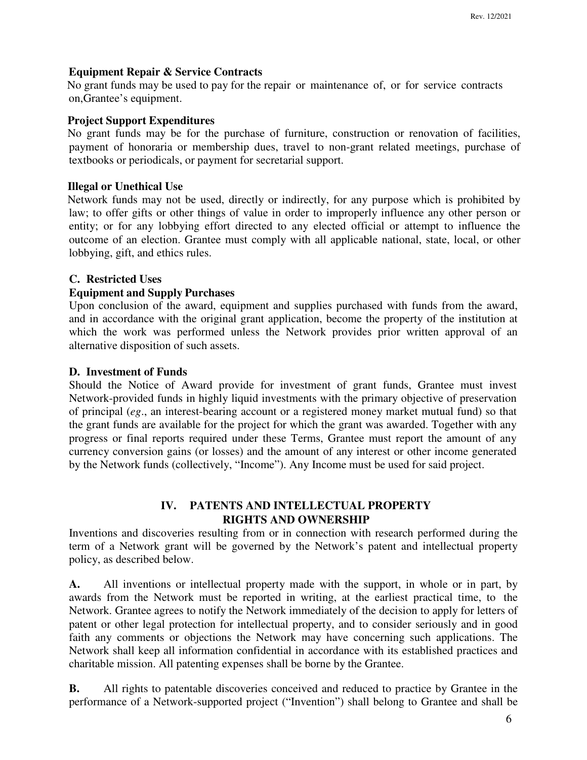### **Equipment Repair & Service Contracts**

No grant funds may be used to pay for the repair or maintenance of, or for service contracts on, Grantee's equipment.

### **Project Support Expenditures**

No grant funds may be for the purchase of furniture, construction or renovation of facilities, payment of honoraria or membership dues, travel to non-grant related meetings, purchase of textbooks or periodicals, or payment for secretarial support.

### **Illegal or Unethical Use**

Network funds may not be used, directly or indirectly, for any purpose which is prohibited by law; to offer gifts or other things of value in order to improperly influence any other person or entity; or for any lobbying effort directed to any elected official or attempt to influence the outcome of an election. Grantee must comply with all applicable national, state, local, or other lobbying, gift, and ethics rules.

### **C. Restricted Uses**

### **Equipment and Supply Purchases**

Upon conclusion of the award, equipment and supplies purchased with funds from the award, and in accordance with the original grant application, become the property of the institution at which the work was performed unless the Network provides prior written approval of an alternative disposition of such assets.

### **D. Investment of Funds**

Should the Notice of Award provide for investment of grant funds, Grantee must invest Network-provided funds in highly liquid investments with the primary objective of preservation of principal (*eg*., an interest-bearing account or a registered money market mutual fund) so that the grant funds are available for the project for which the grant was awarded. Together with any progress or final reports required under these Terms, Grantee must report the amount of any currency conversion gains (or losses) and the amount of any interest or other income generated by the Network funds (collectively, "Income"). Any Income must be used for said project.

# **IV. PATENTS AND INTELLECTUAL PROPERTY RIGHTS AND OWNERSHIP**

Inventions and discoveries resulting from or in connection with research performed during the term of a Network grant will be governed by the Network's patent and intellectual property policy, as described below.

**A.** All inventions or intellectual property made with the support, in whole or in part, by awards from the Network must be reported in writing, at the earliest practical time, to the Network. Grantee agrees to notify the Network immediately of the decision to apply for letters of patent or other legal protection for intellectual property, and to consider seriously and in good faith any comments or objections the Network may have concerning such applications. The Network shall keep all information confidential in accordance with its established practices and charitable mission. All patenting expenses shall be borne by the Grantee.

**B.** All rights to patentable discoveries conceived and reduced to practice by Grantee in the performance of a Network-supported project ("Invention") shall belong to Grantee and shall be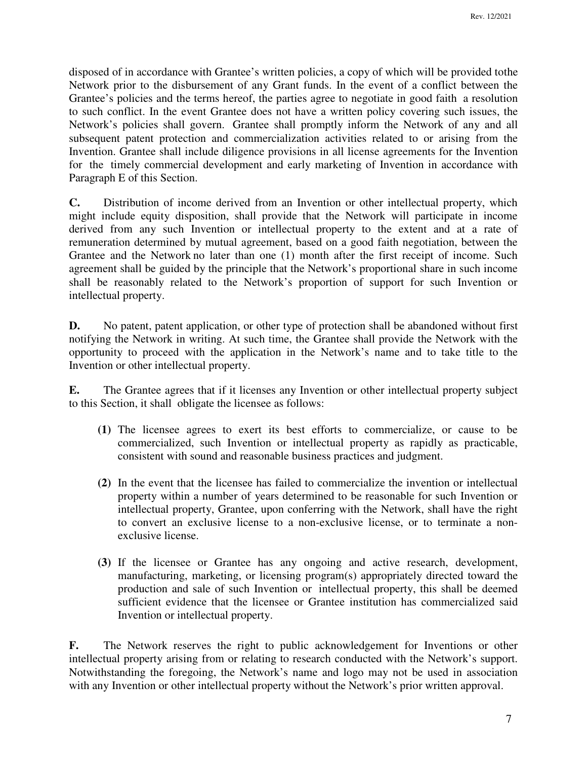disposed of in accordance with Grantee's written policies, a copy of which will be provided to the Network prior to the disbursement of any Grant funds. In the event of a conflict between the Grantee's policies and the terms hereof, the parties agree to negotiate in good faith a resolution to such conflict. In the event Grantee does not have a written policy covering such issues, the Network's policies shall govern. Grantee shall promptly inform the Network of any and all subsequent patent protection and commercialization activities related to or arising from the Invention. Grantee shall include diligence provisions in all license agreements for the Invention for the timely commercial development and early marketing of Invention in accordance with Paragraph E of this Section.

**C.** Distribution of income derived from an Invention or other intellectual property, which might include equity disposition, shall provide that the Network will participate in income derived from any such Invention or intellectual property to the extent and at a rate of remuneration determined by mutual agreement, based on a good faith negotiation, between the Grantee and the Network no later than one (1) month after the first receipt of income. Such agreement shall be guided by the principle that the Network's proportional share in such income shall be reasonably related to the Network's proportion of support for such Invention or intellectual property.

**D.** No patent, patent application, or other type of protection shall be abandoned without first notifying the Network in writing. At such time, the Grantee shall provide the Network with the opportunity to proceed with the application in the Network's name and to take title to the Invention or other intellectual property.

**E.** The Grantee agrees that if it licenses any Invention or other intellectual property subject to this Section, it shall obligate the licensee as follows:

- **(1)** The licensee agrees to exert its best efforts to commercialize, or cause to be commercialized, such Invention or intellectual property as rapidly as practicable, consistent with sound and reasonable business practices and judgment.
- **(2)** In the event that the licensee has failed to commercialize the invention or intellectual property within a number of years determined to be reasonable for such Invention or intellectual property, Grantee, upon conferring with the Network, shall have the right to convert an exclusive license to a non-exclusive license, or to terminate a nonexclusive license.
- **(3)** If the licensee or Grantee has any ongoing and active research, development, manufacturing, marketing, or licensing program(s) appropriately directed toward the production and sale of such Invention or intellectual property, this shall be deemed sufficient evidence that the licensee or Grantee institution has commercialized said Invention or intellectual property.

**F.** The Network reserves the right to public acknowledgement for Inventions or other intellectual property arising from or relating to research conducted with the Network's support. Notwithstanding the foregoing, the Network's name and logo may not be used in association with any Invention or other intellectual property without the Network's prior written approval.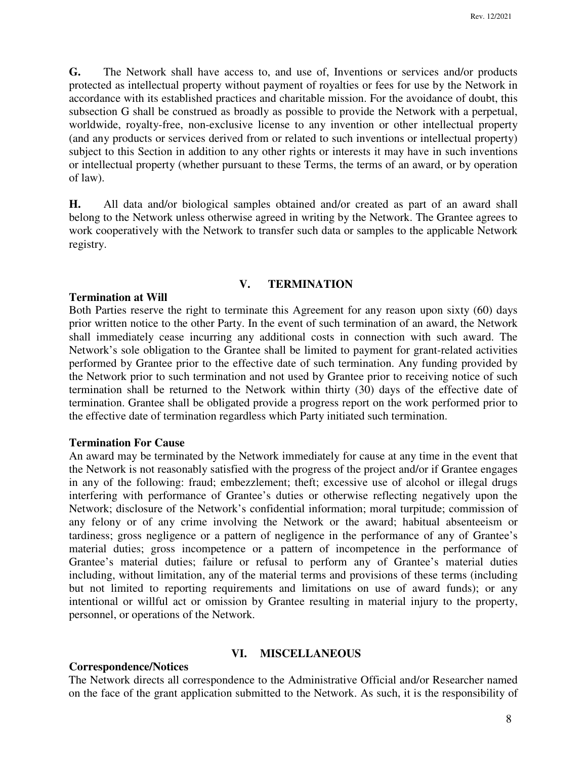**G.** The Network shall have access to, and use of, Inventions or services and/or products protected as intellectual property without payment of royalties or fees for use by the Network in accordance with its established practices and charitable mission. For the avoidance of doubt, this subsection G shall be construed as broadly as possible to provide the Network with a perpetual, worldwide, royalty-free, non-exclusive license to any invention or other intellectual property (and any products or services derived from or related to such inventions or intellectual property) subject to this Section in addition to any other rights or interests it may have in such inventions or intellectual property (whether pursuant to these Terms, the terms of an award, or by operation of law).

**H.** All data and/or biological samples obtained and/or created as part of an award shall belong to the Network unless otherwise agreed in writing by the Network. The Grantee agrees to work cooperatively with the Network to transfer such data or samples to the applicable Network registry.

### **V. TERMINATION**

#### **Termination at Will**

Both Parties reserve the right to terminate this Agreement for any reason upon sixty (60) days prior written notice to the other Party. In the event of such termination of an award, the Network shall immediately cease incurring any additional costs in connection with such award. The Network's sole obligation to the Grantee shall be limited to payment for grant-related activities performed by Grantee prior to the effective date of such termination. Any funding provided by the Network prior to such termination and not used by Grantee prior to receiving notice of such termination shall be returned to the Network within thirty (30) days of the effective date of termination. Grantee shall be obligated provide a progress report on the work performed prior to the effective date of termination regardless which Party initiated such termination.

### **Termination For Cause**

An award may be terminated by the Network immediately for cause at any time in the event that the Network is not reasonably satisfied with the progress of the project and/or if Grantee engages in any of the following: fraud; embezzlement; theft; excessive use of alcohol or illegal drugs interfering with performance of Grantee's duties or otherwise reflecting negatively upon the Network; disclosure of the Network's confidential information; moral turpitude; commission of any felony or of any crime involving the Network or the award; habitual absenteeism or tardiness; gross negligence or a pattern of negligence in the performance of any of Grantee's material duties; gross incompetence or a pattern of incompetence in the performance of Grantee's material duties; failure or refusal to perform any of Grantee's material duties including, without limitation, any of the material terms and provisions of these terms (including but not limited to reporting requirements and limitations on use of award funds); or any intentional or willful act or omission by Grantee resulting in material injury to the property, personnel, or operations of the Network.

#### **VI. MISCELLANEOUS**

# **Correspondence/Notices**

The Network directs all correspondence to the Administrative Official and/or Researcher named on the face of the grant application submitted to the Network. As such, it is the responsibility of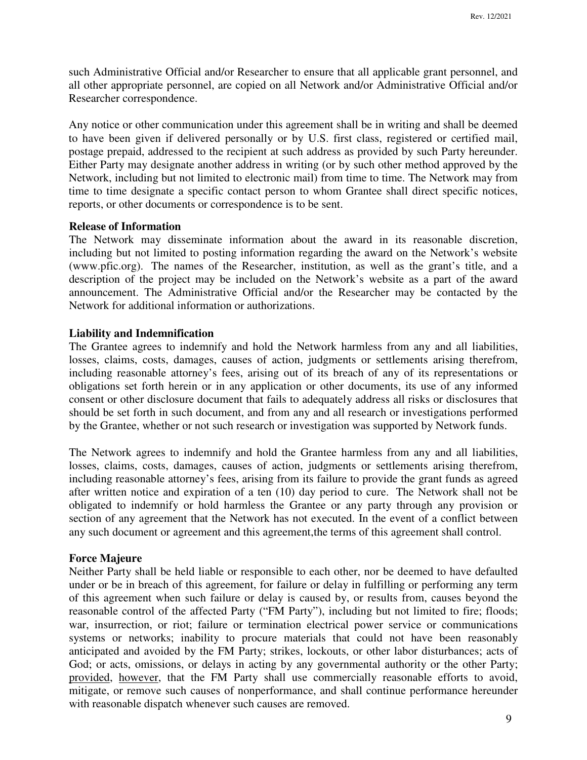such Administrative Official and/or Researcher to ensure that all applicable grant personnel, and all other appropriate personnel, are copied on all Network and/or Administrative Official and/or Researcher correspondence.

Any notice or other communication under this agreement shall be in writing and shall be deemed to have been given if delivered personally or by U.S. first class, registered or certified mail, postage prepaid, addressed to the recipient at such address as provided by such Party hereunder. Either Party may designate another address in writing (or by such other method approved by the Network, including but not limited to electronic mail) from time to time. The Network may from time to time designate a specific contact person to whom Grantee shall direct specific notices, reports, or other documents or correspondence is to be sent.

# **Release of Information**

The Network may disseminate information about the award in its reasonable discretion, including but not limited to posting information regarding the award on the Network's website (www.pfic.org). The names of the Researcher, institution, as well as the grant's title, and a description of the project may be included on the Network's website as a part of the award announcement. The Administrative Official and/or the Researcher may be contacted by the Network for additional information or authorizations.

#### **Liability and Indemnification**

The Grantee agrees to indemnify and hold the Network harmless from any and all liabilities, losses, claims, costs, damages, causes of action, judgments or settlements arising therefrom, including reasonable attorney's fees, arising out of its breach of any of its representations or obligations set forth herein or in any application or other documents, its use of any informed consent or other disclosure document that fails to adequately address all risks or disclosures that should be set forth in such document, and from any and all research or investigations performed by the Grantee, whether or not such research or investigation was supported by Network funds.

The Network agrees to indemnify and hold the Grantee harmless from any and all liabilities, losses, claims, costs, damages, causes of action, judgments or settlements arising therefrom, including reasonable attorney's fees, arising from its failure to provide the grant funds as agreed after written notice and expiration of a ten (10) day period to cure. The Network shall not be obligated to indemnify or hold harmless the Grantee or any party through any provision or section of any agreement that the Network has not executed. In the event of a conflict between any such document or agreement and this agreement, the terms of this agreement shall control.

#### **Force Majeure**

Neither Party shall be held liable or responsible to each other, nor be deemed to have defaulted under or be in breach of this agreement, for failure or delay in fulfilling or performing any term of this agreement when such failure or delay is caused by, or results from, causes beyond the reasonable control of the affected Party ("FM Party"), including but not limited to fire; floods; war, insurrection, or riot; failure or termination electrical power service or communications systems or networks; inability to procure materials that could not have been reasonably anticipated and avoided by the FM Party; strikes, lockouts, or other labor disturbances; acts of God; or acts, omissions, or delays in acting by any governmental authority or the other Party; provided, however, that the FM Party shall use commercially reasonable efforts to avoid, mitigate, or remove such causes of nonperformance, and shall continue performance hereunder with reasonable dispatch whenever such causes are removed.